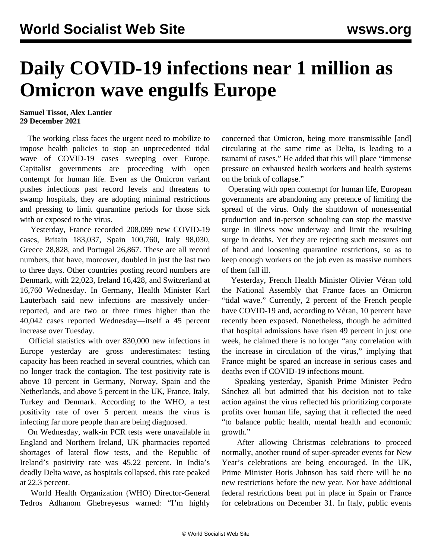## **Daily COVID-19 infections near 1 million as Omicron wave engulfs Europe**

## **Samuel Tissot, Alex Lantier 29 December 2021**

 The working class faces the urgent need to mobilize to impose health policies to stop an unprecedented tidal wave of COVID-19 cases sweeping over Europe. Capitalist governments are proceeding with open contempt for human life. Even as the Omicron variant pushes infections past record levels and threatens to swamp hospitals, they are adopting minimal restrictions and pressing to limit quarantine periods for those sick with or exposed to the virus.

 Yesterday, France recorded 208,099 new COVID-19 cases, Britain 183,037, Spain 100,760, Italy 98,030, Greece 28,828, and Portugal 26,867. These are all record numbers, that have, moreover, doubled in just the last two to three days. Other countries posting record numbers are Denmark, with 22,023, Ireland 16,428, and Switzerland at 16,760 Wednesday. In Germany, Health Minister Karl Lauterbach said new infections are massively underreported, and are two or three times higher than the 40,042 cases reported Wednesday—itself a 45 percent increase over Tuesday.

 Official statistics with over 830,000 new infections in Europe yesterday are gross underestimates: testing capacity has been reached in several countries, which can no longer track the contagion. The test positivity rate is above 10 percent in Germany, Norway, Spain and the Netherlands, and above 5 percent in the UK, France, Italy, Turkey and Denmark. According to the WHO, a test positivity rate of over 5 percent means the virus is infecting far more people than are being diagnosed.

 On Wednesday, walk-in PCR tests were unavailable in England and Northern Ireland, UK pharmacies reported shortages of lateral flow tests, and the Republic of Ireland's positivity rate was 45.22 percent. In India's deadly Delta wave, as hospitals collapsed, this rate peaked at 22.3 percent.

 World Health Organization (WHO) Director-General Tedros Adhanom Ghebreyesus warned: "I'm highly concerned that Omicron, being more transmissible [and] circulating at the same time as Delta, is leading to a tsunami of cases." He added that this will place "immense pressure on exhausted health workers and health systems on the brink of collapse."

 Operating with open contempt for human life, European governments are abandoning any pretence of limiting the spread of the virus. Only the shutdown of nonessential production and in-person schooling can stop the massive surge in illness now underway and limit the resulting surge in deaths. Yet they are rejecting such measures out of hand and loosening quarantine restrictions, so as to keep enough workers on the job even as massive numbers of them fall ill.

 Yesterday, French Health Minister Olivier Véran told the National Assembly that France faces an Omicron "tidal wave." Currently, 2 percent of the French people have COVID-19 and, according to Véran, 10 percent have recently been exposed. Nonetheless, though he admitted that hospital admissions have risen 49 percent in just one week, he claimed there is no longer "any correlation with the increase in circulation of the virus," implying that France might be spared an increase in serious cases and deaths even if COVID-19 infections mount.

 Speaking yesterday, Spanish Prime Minister Pedro Sánchez all but admitted that his decision not to take action against the virus reflected his prioritizing corporate profits over human life, saying that it reflected the need "to balance public health, mental health and economic growth."

 After allowing Christmas celebrations to proceed normally, another round of super-spreader events for New Year's celebrations are being encouraged. In the UK, Prime Minister Boris Johnson has said there will be no new restrictions before the new year. Nor have additional federal restrictions been put in place in Spain or France for celebrations on December 31. In Italy, public events